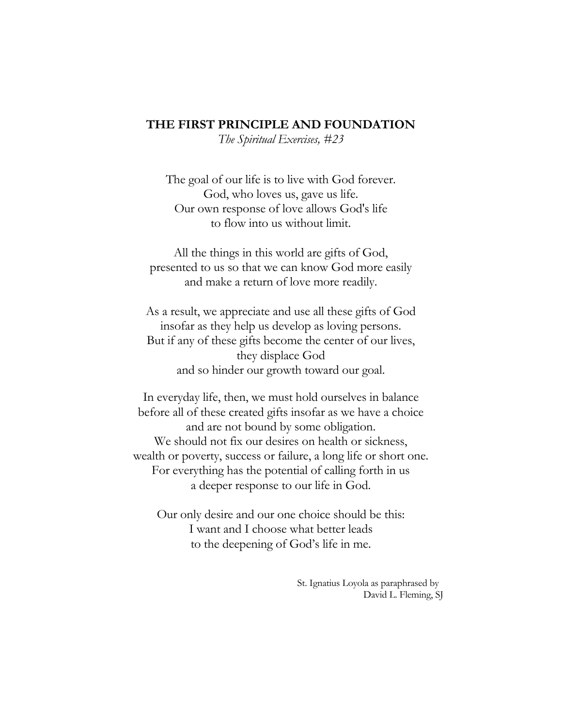## **THE FIRST PRINCIPLE AND FOUNDATION**

*The Spiritual Exercises, #23*

The goal of our life is to live with God forever. God, who loves us, gave us life. Our own response of love allows God's life to flow into us without limit.

All the things in this world are gifts of God, presented to us so that we can know God more easily and make a return of love more readily.

As a result, we appreciate and use all these gifts of God insofar as they help us develop as loving persons. But if any of these gifts become the center of our lives, they displace God and so hinder our growth toward our goal.

In everyday life, then, we must hold ourselves in balance before all of these created gifts insofar as we have a choice and are not bound by some obligation. We should not fix our desires on health or sickness, wealth or poverty, success or failure, a long life or short one. For everything has the potential of calling forth in us a deeper response to our life in God.

Our only desire and our one choice should be this: I want and I choose what better leads to the deepening of God's life in me.

> St. Ignatius Loyola as paraphrased by David L. Fleming, SJ